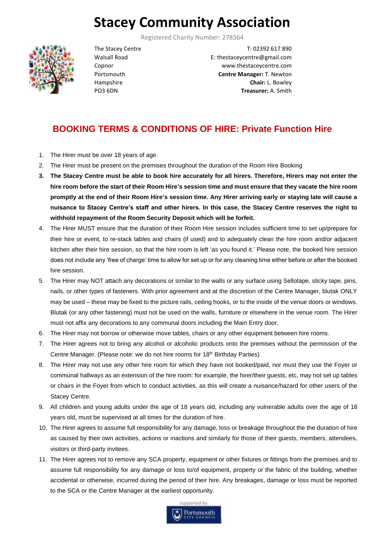# **Stacey Community Association**

Registered Charity Number: 278364



The Stacey Centre Walsall Road Copnor Portsmouth Hampshire PO3 6DN

T: 02392 617 890 E: thestaceycentre@gmail.com www.thestaceycentre.com **Centre Manager:** T. Newton **Chair:** L. Bowley **Treasurer:** A. Smith

# **BOOKING TERMS & CONDITIONS OF HIRE: Private Function Hire**

- 1. The Hirer must be over 18 years of age.
- 2. The Hirer must be present on the premises throughout the duration of the Room Hire Booking
- **3. The Stacey Centre must be able to book hire accurately for all hirers. Therefore, Hirers may not enter the hire room before the start of their Room Hire's session time and must ensure that they vacate the hire room promptly at the end of their Room Hire's session time. Any Hirer arriving early or staying late will cause a nuisance to Stacey Centre's staff and other hirers. In this case, the Stacey Centre reserves the right to withhold repayment of the Room Security Deposit which will be forfeit.**
- 4. The Hirer MUST ensure that the duration of their Room Hire session includes sufficient time to set up/prepare for their hire or event, to re-stack tables and chairs (if used) and to adequately clean the hire room and/or adjacent kitchen after their hire session, so that the hire room is left 'as you found it.' Please note, the booked hire session does not include any 'free of charge' time to allow for set up or for any cleaning time either before or after the booked hire session.
- 5. The Hirer may NOT attach any decorations or similar to the walls or any surface using Sellotape, sticky tape, pins, nails, or other types of fasteners. With prior agreement and at the discretion of the Centre Manager, blutak ONLY may be used – these may be fixed to the picture rails, ceiling hooks, or to the inside of the venue doors or windows. Blutak (or any other fastening) must not be used on the walls, furniture or elsewhere in the venue room. The Hirer must not affix any decorations to any communal doors including the Main Entry door.
- 6. The Hirer may not borrow or otherwise move tables, chairs or any other equipment between hire rooms.
- 7. The Hirer agrees not to bring any alcohol or alcoholic products onto the premises without the permission of the Centre Manager. (Please note: we do not hire rooms for 18<sup>th</sup> Birthday Parties)
- 8. The Hirer may not use any other hire room for which they have not booked/paid, nor must they use the Foyer or communal hallways as an extension of the hire room: for example, the hirer/their guests, etc, may not set up tables or chairs in the Foyer from which to conduct activities, as this will create a nuisance/hazard for other users of the Stacey Centre.
- 9. All children and young adults under the age of 18 years old, including any vulnerable adults over the age of 18 years old, must be supervised at all times for the duration of hire.
- 10. The Hirer agrees to assume full responsibility for any damage, loss or breakage throughout the the duration of hire as caused by their own activities, actions or inactions and similarly for those of their guests, members, attendees, visitors or third-party invitees.
- 11. The Hirer agrees not to remove any SCA property, equipment or other fixtures or fittings from the premises and to assume full responsibility for any damage or loss to/of equipment, property or the fabric of the building, whether accidental or otherwise, incurred during the period of their hire. Any breakages, damage or loss must be reported to the SCA or the Centre Manager at the earliest opportunity.

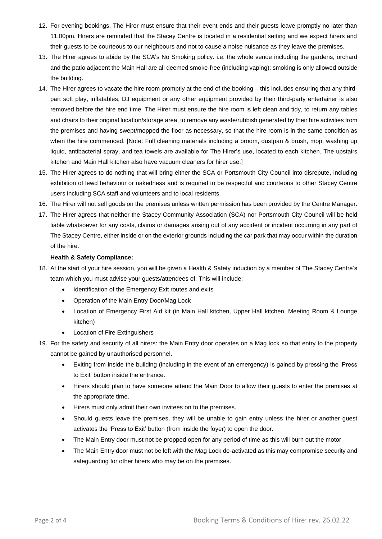- 12. For evening bookings, The Hirer must ensure that their event ends and their guests leave promptly no later than 11.00pm. Hirers are reminded that the Stacey Centre is located in a residential setting and we expect hirers and their guests to be courteous to our neighbours and not to cause a noise nuisance as they leave the premises.
- 13. The Hirer agrees to abide by the SCA's No Smoking policy. i.e. the whole venue including the gardens, orchard and the patio adjacent the Main Hall are all deemed smoke-free (including vaping): smoking is only allowed outside the building.
- 14. The Hirer agrees to vacate the hire room promptly at the end of the booking this includes ensuring that any thirdpart soft play, inflatables, DJ equipment or any other equipment provided by their third-party entertainer is also removed before the hire end time. The Hirer must ensure the hire room is left clean and tidy, to return any tables and chairs to their original location/storage area, to remove any waste/rubbish generated by their hire activities from the premises and having swept/mopped the floor as necessary, so that the hire room is in the same condition as when the hire commenced. [Note: Full cleaning materials including a broom, dustpan & brush, mop, washing up liquid, antibacterial spray, and tea towels are available for The Hirer's use, located to each kitchen. The upstairs kitchen and Main Hall kitchen also have vacuum cleaners for hirer use.]
- 15. The Hirer agrees to do nothing that will bring either the SCA or Portsmouth City Council into disrepute, including exhibition of lewd behaviour or nakedness and is required to be respectful and courteous to other Stacey Centre users including SCA staff and volunteers and to local residents.
- 16. The Hirer will not sell goods on the premises unless written permission has been provided by the Centre Manager.
- 17. The Hirer agrees that neither the Stacey Community Association (SCA) nor Portsmouth City Council will be held liable whatsoever for any costs, claims or damages arising out of any accident or incident occurring in any part of The Stacey Centre, either inside or on the exterior grounds including the car park that may occur within the duration of the hire.

#### **Health & Safety Compliance:**

- 18. At the start of your hire session, you will be given a Health & Safety induction by a member of The Stacey Centre's team which you must advise your guests/attendees of. This will include:
	- Identification of the Emergency Exit routes and exits
	- Operation of the Main Entry Door/Mag Lock
	- Location of Emergency First Aid kit (in Main Hall kitchen, Upper Hall kitchen, Meeting Room & Lounge kitchen)
	- Location of Fire Extinguishers
- 19. For the safety and security of all hirers: the Main Entry door operates on a Mag lock so that entry to the property cannot be gained by unauthorised personnel.
	- Exiting from inside the building (including in the event of an emergency) is gained by pressing the 'Press to Exit' button inside the entrance.
	- Hirers should plan to have someone attend the Main Door to allow their guests to enter the premises at the appropriate time.
	- Hirers must only admit their own invitees on to the premises.
	- Should guests leave the premises, they will be unable to gain entry unless the hirer or another guest activates the 'Press to Exit' button (from inside the foyer) to open the door.
	- The Main Entry door must not be propped open for any period of time as this will burn out the motor
	- The Main Entry door must not be left with the Mag Lock de-activated as this may compromise security and safeguarding for other hirers who may be on the premises.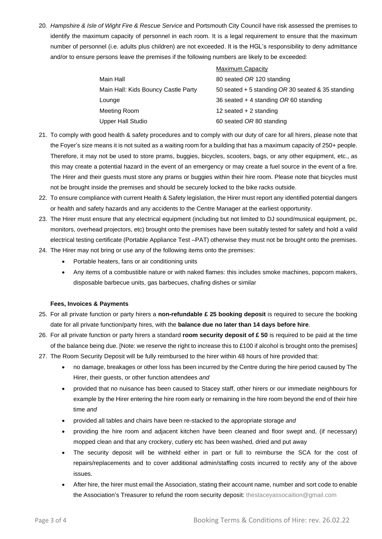20. *Hampshire & Isle of Wight Fire & Rescue Service* and Portsmouth City Council have risk assessed the premises to identify the maximum capacity of personnel in each room. It is a legal requirement to ensure that the maximum number of personnel (i.e. adults plus children) are not exceeded. It is the HGL's responsibility to deny admittance and/or to ensure persons leave the premises if the following numbers are likely to be exceeded:

|                                     | <b>Maximum Capacity</b>                             |
|-------------------------------------|-----------------------------------------------------|
| Main Hall                           | 80 seated OR 120 standing                           |
| Main Hall: Kids Bouncy Castle Party | 50 seated $+$ 5 standing OR 30 seated & 35 standing |
| Lounge                              | 36 seated $+$ 4 standing OR 60 standing             |
| Meeting Room                        | 12 seated $+ 2$ standing                            |
| <b>Upper Hall Studio</b>            | 60 seated OR 80 standing                            |
|                                     |                                                     |

- 21. To comply with good health & safety procedures and to comply with our duty of care for all hirers, please note that the Foyer's size means it is not suited as a waiting room for a building that has a maximum capacity of 250+ people. Therefore, it may not be used to store prams, buggies, bicycles, scooters, bags, or any other equipment, etc., as this may create a potential hazard in the event of an emergency or may create a fuel source in the event of a fire. The Hirer and their guests must store any prams or buggies within their hire room. Please note that bicycles must not be brought inside the premises and should be securely locked to the bike racks outside.
- 22. To ensure compliance with current Health & Safety legislation, the Hirer must report any identified potential dangers or health and safety hazards and any accidents to the Centre Manager at the earliest opportunity.
- 23. The Hirer must ensure that any electrical equipment (including but not limited to DJ sound/musical equipment, pc, monitors, overhead projectors, etc) brought onto the premises have been suitably tested for safety and hold a valid electrical testing certificate (Portable Appliance Test –PAT) otherwise they must not be brought onto the premises.
- 24. The Hirer may not bring or use any of the following items onto the premises:
	- Portable heaters, fans or air conditioning units
	- Any items of a combustible nature or with naked flames: this includes smoke machines, popcorn makers, disposable barbecue units, gas barbecues, chafing dishes or similar

## **Fees, Invoices & Payments**

- 25. For all private function or party hirers a **non-refundable £ 25 booking deposit** is required to secure the booking date for all private function/party hires, with the **balance due no later than 14 days before hire**.
- 26. For all private function or party hirers a standard **room security deposit of £ 50** is required to be paid at the time of the balance being due. [Note: we reserve the right to increase this to £100 if alcohol is brought onto the premises]
- 27. The Room Security Deposit will be fully reimbursed to the hirer within 48 hours of hire provided that:
	- no damage, breakages or other loss has been incurred by the Centre during the hire period caused by The Hirer, their guests, or other function attendees *and*
	- provided that no nuisance has been caused to Stacey staff, other hirers or our immediate neighbours for example by the Hirer entering the hire room early or remaining in the hire room beyond the end of their hire time *and*
	- provided all tables and chairs have been re-stacked to the appropriate storage *and*
	- providing the hire room and adjacent kitchen have been cleaned and floor swept and, (if necessary) mopped clean and that any crockery, cutlery etc has been washed, dried and put away
	- The security deposit will be withheld either in part or full to reimburse the SCA for the cost of repairs/replacements and to cover additional admin/staffing costs incurred to rectify any of the above issues.
	- After hire, the hirer must email the Association, stating their account name, number and sort code to enable the Association's Treasurer to refund the room security deposit: thestaceyassocaition@gmail.com